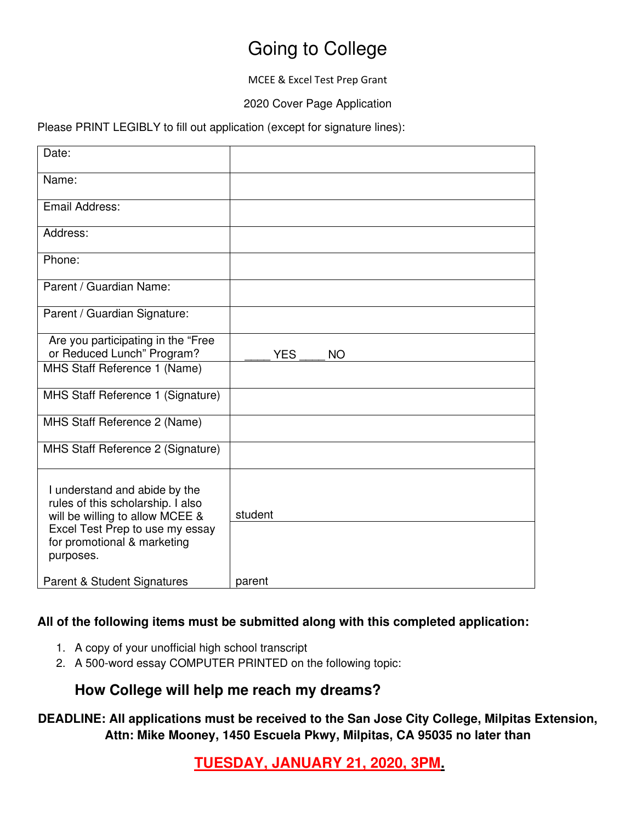# Going to College

MCEE & Excel Test Prep Grant

2020 Cover Page Application

Please PRINT LEGIBLY to fill out application (except for signature lines):

| Date:                                                                                                                                                                                |                         |
|--------------------------------------------------------------------------------------------------------------------------------------------------------------------------------------|-------------------------|
| Name:                                                                                                                                                                                |                         |
| Email Address:                                                                                                                                                                       |                         |
| Address:                                                                                                                                                                             |                         |
| Phone:                                                                                                                                                                               |                         |
| Parent / Guardian Name:                                                                                                                                                              |                         |
| Parent / Guardian Signature:                                                                                                                                                         |                         |
| Are you participating in the "Free<br>or Reduced Lunch" Program?                                                                                                                     | <b>NO</b><br><b>YES</b> |
| MHS Staff Reference 1 (Name)                                                                                                                                                         |                         |
| MHS Staff Reference 1 (Signature)                                                                                                                                                    |                         |
| MHS Staff Reference 2 (Name)                                                                                                                                                         |                         |
| MHS Staff Reference 2 (Signature)                                                                                                                                                    |                         |
| I understand and abide by the<br>rules of this scholarship. I also<br>will be willing to allow MCEE &<br>Excel Test Prep to use my essay<br>for promotional & marketing<br>purposes. | student                 |
| <b>Parent &amp; Student Signatures</b>                                                                                                                                               | parent                  |

#### **All of the following items must be submitted along with this completed application:**

- 1. A copy of your unofficial high school transcript
- 2. A 500-word essay COMPUTER PRINTED on the following topic:

## **How College will help me reach my dreams?**

## **DEADLINE: All applications must be received to the San Jose City College, Milpitas Extension, Attn: Mike Mooney, 1450 Escuela Pkwy, Milpitas, CA 95035 no later than**

**TUESDAY, JANUARY 21, 2020, 3PM.**